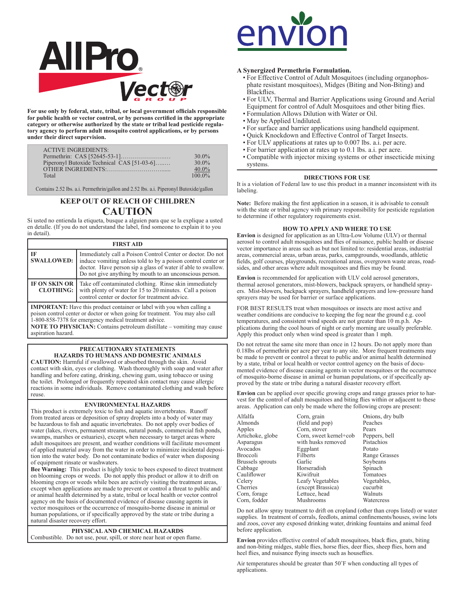

**For use only by federal, state, tribal, or local government officials responsible for public health or vector control, or by persons certified in the appropriate category or otherwise authorized by the state or tribal lead pesticide regulatory agency to perform adult mosquito control applications, or by persons under their direct supervision.**

| <b>ACTIVE INGREDIENTS:</b>                 |          |
|--------------------------------------------|----------|
|                                            | $30.0\%$ |
| Piperonyl Butoxide Technical CAS [51-03-6] | $30.0\%$ |
| OTHER INGREDIENTS                          | $40.0\%$ |
| Total                                      | $1000\%$ |

Contains 2.52 lbs. a.i. Permethrin/gallon and 2.52 lbs. a.i. Piperonyl Butoxide/gallon

# **KEEP OUT OF REACH OF CHILDREN CAUTION**

Si usted no entienda la etiqueta, busque a alguien para que se la explique a usted en detalle. (If you do not understand the label, find someone to explain it to you in detail).

| <b>FIRST AID</b>                         |                                                                                                                                                                                                                                                                                                     |  |  |  |  |
|------------------------------------------|-----------------------------------------------------------------------------------------------------------------------------------------------------------------------------------------------------------------------------------------------------------------------------------------------------|--|--|--|--|
| <b>IF</b><br><b>SWALLOWED:</b>           | Immediately call a Poison Control Center or doctor. Do not<br>induce vomiting unless told to by a poison control center or<br>doctor. Have person sip a glass of water if able to swallow.<br>Do not give anything by mouth to an unconscious person.                                               |  |  |  |  |
| <b>IF ON SKIN OR</b><br><b>CLOTHING:</b> | Take off contaminated clothing. Rinse skin immediately<br>with plenty of water for 15 to 20 minutes. Call a poison<br>control center or doctor for treatment advice.                                                                                                                                |  |  |  |  |
| aspiration hazard.                       | <b>IMPORTANT:</b> Have this product container or label with you when calling a<br>poison control center or doctor or when going for treatment. You may also call<br>1-800-858-7378 for emergency medical treatment advice.<br>NOTE TO PHYSICIAN: Contains petroleum distillate - vomiting may cause |  |  |  |  |

## **PRECAUTIONARY STATEMENTS HAZARDS TO HUMANS AND DOMESTIC ANIMALS**

**CAUTION:** Harmful if swallowed or absorbed through the skin. Avoid contact with skin, eyes or clothing. Wash thoroughly with soap and water after handling and before eating, drinking, chewing gum, using tobacco or using the toilet. Prolonged or frequently repeated skin contact may cause allergic reactions in some individuals. Remove contaminated clothing and wash before reuse.

# **ENVIRONMENTAL HAZARDS**

This product is extremely toxic to fish and aquatic invertebrates. Runoff from treated areas or deposition of spray droplets into a body of water may be hazardous to fish and aquatic invertebrates. Do not apply over bodies of water (lakes, rivers, permanent streams, natural ponds, commercial fish ponds, swamps, marshes or estuaries), except when necessary to target areas where adult mosquitoes are present, and weather conditions will facilitate movement of applied material away from the water in order to minimize incidental deposition into the water body. Do not contaminate bodies of water when disposing of equipment rinsate or washwaters.

**Bee Warning:** This product is highly toxic to bees exposed to direct treatment on blooming crops or weeds. Do not apply this product or allow it to drift on blooming crops or weeds while bees are actively visiting the treatment areas, except when applications are made to prevent or control a threat to public and/ or animal health determined by a state, tribal or local health or vector control agency on the basis of documented evidence of disease causing agents in vector mosquitoes or the occurrence of mosquito-borne disease in animal or human populations, or if specifically approved by the state or tribe during a natural disaster recovery effort.

**PHYSICAL AND CHEMICAL HAZARDS** Combustible. Do not use, pour, spill, or store near heat or open flame.



# **A Synergized Permethrin Formulation.**

- For Effective Control of Adult Mosquitoes (including organophosphate resistant mosquitoes), Midges (Biting and Non-Biting) and Blackflies.
- For ULV, Thermal and Barrier Applications using Ground and Aerial Equipment for control of Adult Mosquitoes and other biting flies.
- Formulation Allows Dilution with Water or Oil.
- May be Applied Undiluted.
- For surface and barrier applications using handheld equipment.
- Quick Knockdown and Effective Control of Target Insects.
- For ULV applications at rates up to 0.007 lbs. a.i. per acre.
- For barrier application at rates up to 0.1 lbs. a.i. per acre.
- Compatible with injector mixing systems or other insecticide mixing systems.

## **DIRECTIONS FOR USE**

It is a violation of Federal law to use this product in a manner inconsistent with its labeling.

**Note:** Before making the first application in a season, it is advisable to consult with the state or tribal agency with primary responsibility for pesticide regulation to determine if other regulatory requirements exist.

# **HOW TO APPLY AND WHERE TO USE**

**Envion** is designed for application as an Ultra-Low Volume (ULV) or thermal aerosol to control adult mosquitoes and flies of nuisance, public health or disease vector importance in areas such as but not limited to: residential areas, industrial areas, commercial areas, urban areas, parks, campgrounds, woodlands, athletic fields, golf courses, playgrounds, recreational areas, overgrown waste areas, roadsides, and other areas where adult mosquitoes and flies may be found.

**Envion** is recommended for application with ULV cold aerosol generators, thermal aerosol generators, mist-blowers, backpack sprayers, or handheld sprayers. Mist-blowers, backpack sprayers, handheld sprayers and low-pressure hand sprayers may be used for barrier or surface applications.

FOR BEST RESULTS treat when mosquitoes or insects are most active and weather conditions are conducive to keeping the fog near the ground e.g. cool temperatures, and consistent wind speeds are not greater than 10 m.p.h. Applications during the cool hours of night or early morning are usually preferable. Apply this product only when wind speed is greater than 1 mph.

Do not retreat the same site more than once in 12 hours. Do not apply more than 0.18lbs of permethrin per acre per year to any site. More frequent treatments may be made to prevent or control a threat to public and/or animal health determined by a state, tribal or local health or vector control agency on the basis of documented evidence of disease causing agents in vector mosquitoes or the occurrence of mosquito-borne disease in animal or human populations, or if specifically approved by the state or tribe during a natural disaster recovery effort.

**Envion** can be applied over specific growing crops and range grasses prior to harvest for the control of adult mosquitoes and biting flies within or adjacent to these areas. Application can only be made where the following crops are present:

Alfalfa Corn, grain Conions, dry bulb<br>
Almonds (field and pop) Peaches Almonds (field and pop)<br>Apples Corn, stover Avocados Eggplan<br>Broccoli Filberts Corn, fodder

Apples Corn, stover Pears<br>Artichoke, globe Corn, sweet kernel+cob Peppers, bell Artichoke, globe Corn, sweet kernel+cob Peppers, b<br>Asparagus with husks removed Pistachios Aspect with husks removed Pistachios<br>
Potato Potato Filberts Range Grasses<br>
Garlic Sovbeans Brussels sprouts Garlic Soybeans<br>Cabbage Horseradish Spinach Horseradish Spinach<br>
Kiwifruit Tomatoes Cauliflower Kiwifruit Tomatoes<br>Celery Leafy Vegetables Vegetables, Celery Leafy Vegetables Vegetables<br>Cherries (except Brassica) cucurbit (except Brassica)<br>Lettuce head Corn, forage Lettuce, head Walnuts

Do not allow spray treatment to drift on cropland (other than crops listed) or water supplies. In treatment of corrals, feedlots, animal confinements/houses, swine lots and zoos, cover any exposed drinking water, drinking fountains and animal feed before application.

**Envion** provides effective control of adult mosquitoes, black flies, gnats, biting and non-biting midges, stable flies, horse flies, deer flies, sheep flies, horn and heel flies, and nuisance flying insects such as houseflies.

Air temperatures should be greater than 50˚F when conducting all types of applications.